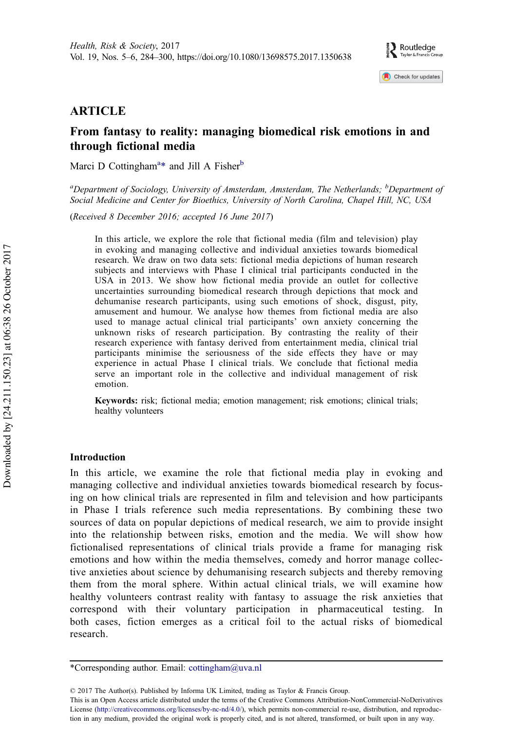Check for updates

## ARTICLE

# From fantasy to reality: managing biomedical risk emotions in and through fictional media

Marci D Cottingham<sup>a\*</sup> and Jill A Fisher<sup>b</sup>

<sup>a</sup>Department of Sociology, University of Amsterdam, Amsterdam, The Netherlands; <sup>b</sup>Department of Social Medicine and Center for Bioethics, University of North Carolina, Chapel Hill, NC, USA

(Received 8 December 2016; accepted 16 June 2017)

In this article, we explore the role that fictional media (film and television) play in evoking and managing collective and individual anxieties towards biomedical research. We draw on two data sets: fictional media depictions of human research subjects and interviews with Phase I clinical trial participants conducted in the USA in 2013. We show how fictional media provide an outlet for collective uncertainties surrounding biomedical research through depictions that mock and dehumanise research participants, using such emotions of shock, disgust, pity, amusement and humour. We analyse how themes from fictional media are also used to manage actual clinical trial participants' own anxiety concerning the unknown risks of research participation. By contrasting the reality of their research experience with fantasy derived from entertainment media, clinical trial participants minimise the seriousness of the side effects they have or may experience in actual Phase I clinical trials. We conclude that fictional media serve an important role in the collective and individual management of risk emotion.

Keywords: risk; fictional media; emotion management; risk emotions; clinical trials; healthy volunteers

## Introduction

In this article, we examine the role that fictional media play in evoking and managing collective and individual anxieties towards biomedical research by focusing on how clinical trials are represented in film and television and how participants in Phase I trials reference such media representations. By combining these two sources of data on popular depictions of medical research, we aim to provide insight into the relationship between risks, emotion and the media. We will show how fictionalised representations of clinical trials provide a frame for managing risk emotions and how within the media themselves, comedy and horror manage collective anxieties about science by dehumanising research subjects and thereby removing them from the moral sphere. Within actual clinical trials, we will examine how healthy volunteers contrast reality with fantasy to assuage the risk anxieties that correspond with their voluntary participation in pharmaceutical testing. In both cases, fiction emerges as a critical foil to the actual risks of biomedical research.

<sup>\*</sup>Corresponding author. Email: cottingham@uva.nl

<sup>© 2017</sup> The Author(s). Published by Informa UK Limited, trading as Taylor & Francis Group.

This is an Open Access article distributed under the terms of the Creative Commons Attribution-NonCommercial-NoDerivatives License (http://creativecommons.org/licenses/by-nc-nd/4.0/), which permits non-commercial re-use, distribution, and reproduction in any medium, provided the original work is properly cited, and is not altered, transformed, or built upon in any way.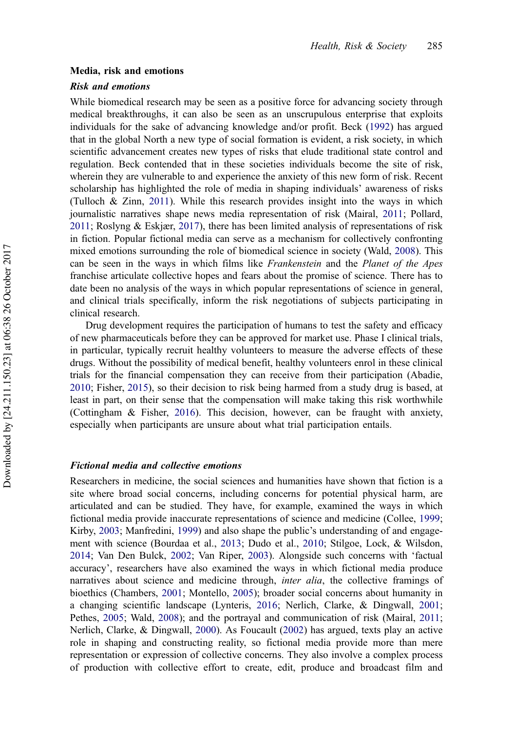#### <span id="page-1-0"></span>Media, risk and emotions

## Risk and emotions

While biomedical research may be seen as a positive force for advancing society through medical breakthroughs, it can also be seen as an unscrupulous enterprise that exploits individuals for the sake of advancing knowledge and/or profit. Beck [\(1992](#page-14-0)) has argued that in the global North a new type of social formation is evident, a risk society, in which scientific advancement creates new types of risks that elude traditional state control and regulation. Beck contended that in these societies individuals become the site of risk, wherein they are vulnerable to and experience the anxiety of this new form of risk. Recent scholarship has highlighted the role of media in shaping individuals' awareness of risks (Tulloch & Zinn, [2011](#page-16-0)). While this research provides insight into the ways in which journalistic narratives shape news media representation of risk (Mairal, [2011;](#page-15-0) Pollard, [2011;](#page-15-0) Roslyng & Eskjær, [2017\)](#page-15-0), there has been limited analysis of representations of risk in fiction. Popular fictional media can serve as a mechanism for collectively confronting mixed emotions surrounding the role of biomedical science in society (Wald, [2008\)](#page-16-0). This can be seen in the ways in which films like *Frankenstein* and the *Planet of the Apes* franchise articulate collective hopes and fears about the promise of science. There has to date been no analysis of the ways in which popular representations of science in general, and clinical trials specifically, inform the risk negotiations of subjects participating in clinical research.

Drug development requires the participation of humans to test the safety and efficacy of new pharmaceuticals before they can be approved for market use. Phase I clinical trials, in particular, typically recruit healthy volunteers to measure the adverse effects of these drugs. Without the possibility of medical benefit, healthy volunteers enrol in these clinical trials for the financial compensation they can receive from their participation (Abadie, [2010](#page-14-0); Fisher, [2015\)](#page-14-0), so their decision to risk being harmed from a study drug is based, at least in part, on their sense that the compensation will make taking this risk worthwhile (Cottingham & Fisher, [2016\)](#page-14-0). This decision, however, can be fraught with anxiety, especially when participants are unsure about what trial participation entails.

#### Fictional media and collective emotions

Researchers in medicine, the social sciences and humanities have shown that fiction is a site where broad social concerns, including concerns for potential physical harm, are articulated and can be studied. They have, for example, examined the ways in which fictional media provide inaccurate representations of science and medicine (Collee, [1999](#page-14-0); Kirby, [2003](#page-15-0); Manfredini, [1999](#page-15-0)) and also shape the public's understanding of and engagement with science (Bourdaa et al., [2013](#page-14-0); Dudo et al., [2010](#page-14-0); Stilgoe, Lock, & Wilsdon, [2014](#page-16-0); Van Den Bulck, [2002](#page-16-0); Van Riper, [2003\)](#page-16-0). Alongside such concerns with 'factual accuracy', researchers have also examined the ways in which fictional media produce narratives about science and medicine through, *inter alia*, the collective framings of bioethics (Chambers, [2001;](#page-14-0) Montello, [2005\)](#page-15-0); broader social concerns about humanity in a changing scientific landscape (Lynteris, [2016;](#page-15-0) Nerlich, Clarke, & Dingwall, [2001](#page-15-0); Pethes, [2005](#page-15-0); Wald, [2008](#page-16-0)); and the portrayal and communication of risk (Mairal, [2011](#page-15-0); Nerlich, Clarke, & Dingwall, [2000](#page-15-0)). As Foucault [\(2002](#page-14-0)) has argued, texts play an active role in shaping and constructing reality, so fictional media provide more than mere representation or expression of collective concerns. They also involve a complex process of production with collective effort to create, edit, produce and broadcast film and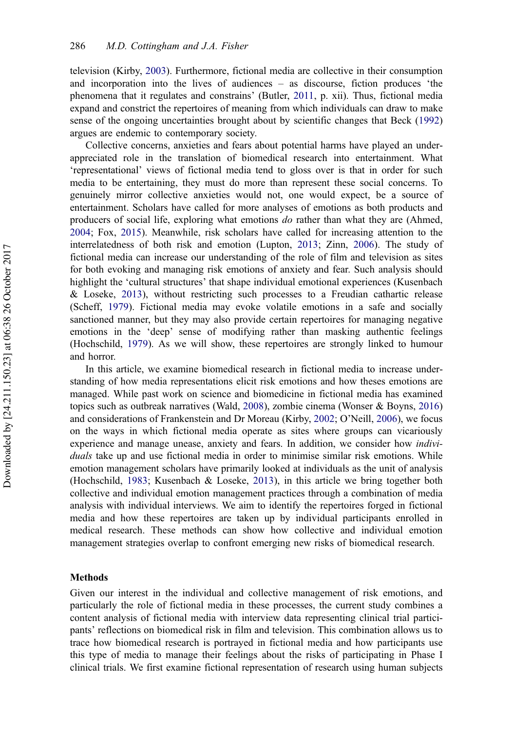<span id="page-2-0"></span>television (Kirby, [2003\)](#page-15-0). Furthermore, fictional media are collective in their consumption and incorporation into the lives of audiences – as discourse, fiction produces 'the phenomena that it regulates and constrains' (Butler, [2011](#page-14-0), p. xii). Thus, fictional media expand and constrict the repertoires of meaning from which individuals can draw to make sense of the ongoing uncertainties brought about by scientific changes that Beck ([1992\)](#page-14-0) argues are endemic to contemporary society.

Collective concerns, anxieties and fears about potential harms have played an underappreciated role in the translation of biomedical research into entertainment. What 'representational' views of fictional media tend to gloss over is that in order for such media to be entertaining, they must do more than represent these social concerns. To genuinely mirror collective anxieties would not, one would expect, be a source of entertainment. Scholars have called for more analyses of emotions as both products and producers of social life, exploring what emotions do rather than what they are (Ahmed, [2004](#page-14-0); Fox, [2015](#page-15-0)). Meanwhile, risk scholars have called for increasing attention to the interrelatedness of both risk and emotion (Lupton, [2013](#page-15-0); Zinn, [2006](#page-16-0)). The study of fictional media can increase our understanding of the role of film and television as sites for both evoking and managing risk emotions of anxiety and fear. Such analysis should highlight the 'cultural structures' that shape individual emotional experiences (Kusenbach & Loseke, [2013\)](#page-15-0), without restricting such processes to a Freudian cathartic release (Scheff, [1979\)](#page-15-0). Fictional media may evoke volatile emotions in a safe and socially sanctioned manner, but they may also provide certain repertoires for managing negative emotions in the 'deep' sense of modifying rather than masking authentic feelings (Hochschild, [1979](#page-15-0)). As we will show, these repertoires are strongly linked to humour and horror.

In this article, we examine biomedical research in fictional media to increase understanding of how media representations elicit risk emotions and how theses emotions are managed. While past work on science and biomedicine in fictional media has examined topics such as outbreak narratives (Wald, [2008\)](#page-16-0), zombie cinema (Wonser & Boyns, [2016\)](#page-16-0) and considerations of Frankenstein and Dr Moreau (Kirby, [2002;](#page-15-0) O'Neill, [2006](#page-15-0)), we focus on the ways in which fictional media operate as sites where groups can vicariously experience and manage unease, anxiety and fears. In addition, we consider how *indivi*duals take up and use fictional media in order to minimise similar risk emotions. While emotion management scholars have primarily looked at individuals as the unit of analysis (Hochschild, [1983](#page-15-0); Kusenbach & Loseke, [2013\)](#page-15-0), in this article we bring together both collective and individual emotion management practices through a combination of media analysis with individual interviews. We aim to identify the repertoires forged in fictional media and how these repertoires are taken up by individual participants enrolled in medical research. These methods can show how collective and individual emotion management strategies overlap to confront emerging new risks of biomedical research.

#### **Methods**

Given our interest in the individual and collective management of risk emotions, and particularly the role of fictional media in these processes, the current study combines a content analysis of fictional media with interview data representing clinical trial participants' reflections on biomedical risk in film and television. This combination allows us to trace how biomedical research is portrayed in fictional media and how participants use this type of media to manage their feelings about the risks of participating in Phase I clinical trials. We first examine fictional representation of research using human subjects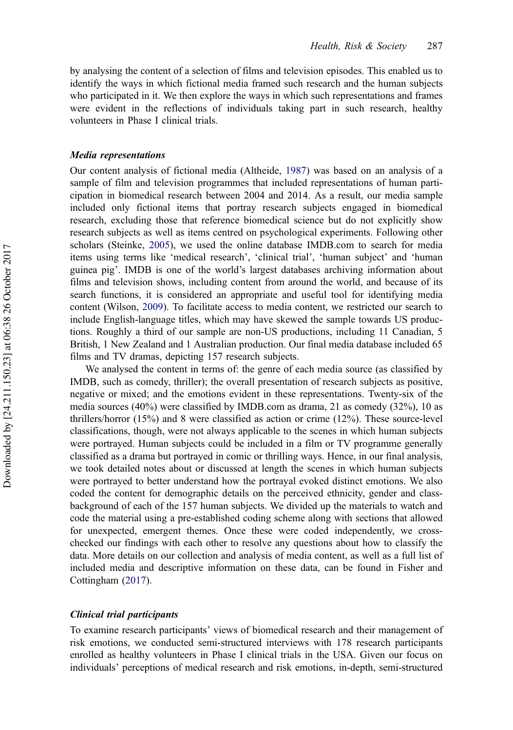<span id="page-3-0"></span>by analysing the content of a selection of films and television episodes. This enabled us to identify the ways in which fictional media framed such research and the human subjects who participated in it. We then explore the ways in which such representations and frames were evident in the reflections of individuals taking part in such research, healthy volunteers in Phase I clinical trials.

#### Media representations

Our content analysis of fictional media (Altheide, [1987\)](#page-14-0) was based on an analysis of a sample of film and television programmes that included representations of human participation in biomedical research between 2004 and 2014. As a result, our media sample included only fictional items that portray research subjects engaged in biomedical research, excluding those that reference biomedical science but do not explicitly show research subjects as well as items centred on psychological experiments. Following other scholars (Steinke, [2005](#page-16-0)), we used the online database IMDB.com to search for media items using terms like 'medical research', 'clinical trial', 'human subject' and 'human guinea pig'. IMDB is one of the world's largest databases archiving information about films and television shows, including content from around the world, and because of its search functions, it is considered an appropriate and useful tool for identifying media content (Wilson, [2009\)](#page-16-0). To facilitate access to media content, we restricted our search to include English-language titles, which may have skewed the sample towards US productions. Roughly a third of our sample are non-US productions, including 11 Canadian, 5 British, 1 New Zealand and 1 Australian production. Our final media database included 65 films and TV dramas, depicting 157 research subjects.

We analysed the content in terms of: the genre of each media source (as classified by IMDB, such as comedy, thriller); the overall presentation of research subjects as positive, negative or mixed; and the emotions evident in these representations. Twenty-six of the media sources (40%) were classified by IMDB.com as drama, 21 as comedy (32%), 10 as thrillers/horror (15%) and 8 were classified as action or crime (12%). These source-level classifications, though, were not always applicable to the scenes in which human subjects were portrayed. Human subjects could be included in a film or TV programme generally classified as a drama but portrayed in comic or thrilling ways. Hence, in our final analysis, we took detailed notes about or discussed at length the scenes in which human subjects were portrayed to better understand how the portrayal evoked distinct emotions. We also coded the content for demographic details on the perceived ethnicity, gender and classbackground of each of the 157 human subjects. We divided up the materials to watch and code the material using a pre-established coding scheme along with sections that allowed for unexpected, emergent themes. Once these were coded independently, we crosschecked our findings with each other to resolve any questions about how to classify the data. More details on our collection and analysis of media content, as well as a full list of included media and descriptive information on these data, can be found in Fisher and Cottingham ([2017\)](#page-14-0).

#### Clinical trial participants

To examine research participants' views of biomedical research and their management of risk emotions, we conducted semi-structured interviews with 178 research participants enrolled as healthy volunteers in Phase I clinical trials in the USA. Given our focus on individuals' perceptions of medical research and risk emotions, in-depth, semi-structured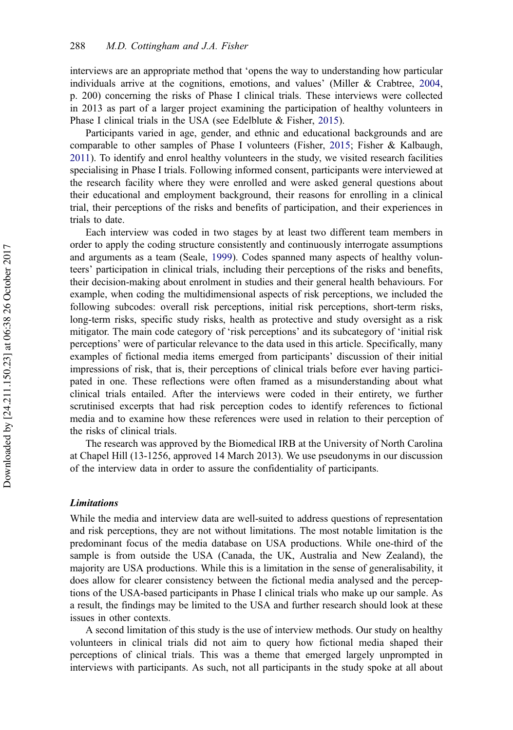<span id="page-4-0"></span>interviews are an appropriate method that 'opens the way to understanding how particular individuals arrive at the cognitions, emotions, and values' (Miller & Crabtree, [2004](#page-15-0), p. 200) concerning the risks of Phase I clinical trials. These interviews were collected in 2013 as part of a larger project examining the participation of healthy volunteers in Phase I clinical trials in the USA (see Edelblute & Fisher, [2015\)](#page-14-0).

Participants varied in age, gender, and ethnic and educational backgrounds and are comparable to other samples of Phase I volunteers (Fisher, [2015](#page-14-0); Fisher & Kalbaugh, [2011\)](#page-14-0). To identify and enrol healthy volunteers in the study, we visited research facilities specialising in Phase I trials. Following informed consent, participants were interviewed at the research facility where they were enrolled and were asked general questions about their educational and employment background, their reasons for enrolling in a clinical trial, their perceptions of the risks and benefits of participation, and their experiences in trials to date.

Each interview was coded in two stages by at least two different team members in order to apply the coding structure consistently and continuously interrogate assumptions and arguments as a team (Seale, [1999](#page-15-0)). Codes spanned many aspects of healthy volunteers' participation in clinical trials, including their perceptions of the risks and benefits, their decision-making about enrolment in studies and their general health behaviours. For example, when coding the multidimensional aspects of risk perceptions, we included the following subcodes: overall risk perceptions, initial risk perceptions, short-term risks, long-term risks, specific study risks, health as protective and study oversight as a risk mitigator. The main code category of 'risk perceptions' and its subcategory of 'initial risk perceptions' were of particular relevance to the data used in this article. Specifically, many examples of fictional media items emerged from participants' discussion of their initial impressions of risk, that is, their perceptions of clinical trials before ever having participated in one. These reflections were often framed as a misunderstanding about what clinical trials entailed. After the interviews were coded in their entirety, we further scrutinised excerpts that had risk perception codes to identify references to fictional media and to examine how these references were used in relation to their perception of the risks of clinical trials.

The research was approved by the Biomedical IRB at the University of North Carolina at Chapel Hill (13-1256, approved 14 March 2013). We use pseudonyms in our discussion of the interview data in order to assure the confidentiality of participants.

#### Limitations

While the media and interview data are well-suited to address questions of representation and risk perceptions, they are not without limitations. The most notable limitation is the predominant focus of the media database on USA productions. While one-third of the sample is from outside the USA (Canada, the UK, Australia and New Zealand), the majority are USA productions. While this is a limitation in the sense of generalisability, it does allow for clearer consistency between the fictional media analysed and the perceptions of the USA-based participants in Phase I clinical trials who make up our sample. As a result, the findings may be limited to the USA and further research should look at these issues in other contexts.

A second limitation of this study is the use of interview methods. Our study on healthy volunteers in clinical trials did not aim to query how fictional media shaped their perceptions of clinical trials. This was a theme that emerged largely unprompted in interviews with participants. As such, not all participants in the study spoke at all about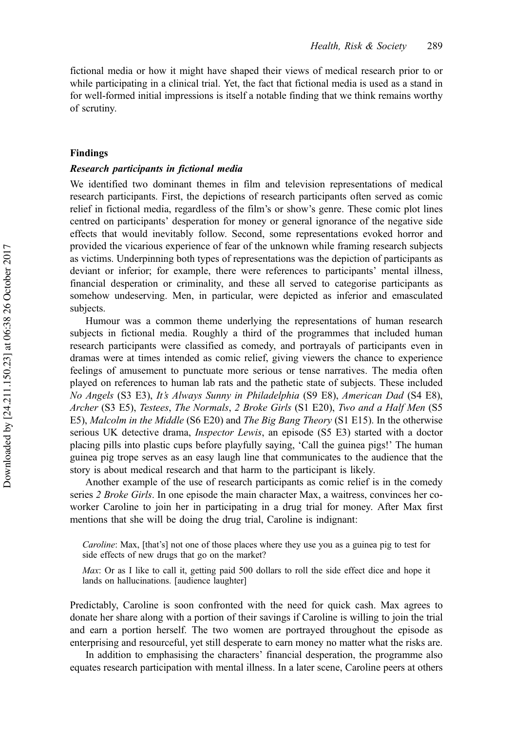fictional media or how it might have shaped their views of medical research prior to or while participating in a clinical trial. Yet, the fact that fictional media is used as a stand in for well-formed initial impressions is itself a notable finding that we think remains worthy of scrutiny.

#### Findings

## Research participants in fictional media

We identified two dominant themes in film and television representations of medical research participants. First, the depictions of research participants often served as comic relief in fictional media, regardless of the film's or show's genre. These comic plot lines centred on participants' desperation for money or general ignorance of the negative side effects that would inevitably follow. Second, some representations evoked horror and provided the vicarious experience of fear of the unknown while framing research subjects as victims. Underpinning both types of representations was the depiction of participants as deviant or inferior; for example, there were references to participants' mental illness, financial desperation or criminality, and these all served to categorise participants as somehow undeserving. Men, in particular, were depicted as inferior and emasculated subjects.

Humour was a common theme underlying the representations of human research subjects in fictional media. Roughly a third of the programmes that included human research participants were classified as comedy, and portrayals of participants even in dramas were at times intended as comic relief, giving viewers the chance to experience feelings of amusement to punctuate more serious or tense narratives. The media often played on references to human lab rats and the pathetic state of subjects. These included No Angels (S3 E3), It's Always Sunny in Philadelphia (S9 E8), American Dad (S4 E8), Archer (S3 E5), Testees, The Normals, 2 Broke Girls (S1 E20), Two and a Half Men (S5 E5), Malcolm in the Middle (S6 E20) and The Big Bang Theory (S1 E15). In the otherwise serious UK detective drama, *Inspector Lewis*, an episode (S5 E3) started with a doctor placing pills into plastic cups before playfully saying, 'Call the guinea pigs!' The human guinea pig trope serves as an easy laugh line that communicates to the audience that the story is about medical research and that harm to the participant is likely.

Another example of the use of research participants as comic relief is in the comedy series 2 Broke Girls. In one episode the main character Max, a waitress, convinces her coworker Caroline to join her in participating in a drug trial for money. After Max first mentions that she will be doing the drug trial, Caroline is indignant:

Caroline: Max, [that's] not one of those places where they use you as a guinea pig to test for side effects of new drugs that go on the market?

Max: Or as I like to call it, getting paid 500 dollars to roll the side effect dice and hope it lands on hallucinations. [audience laughter]

Predictably, Caroline is soon confronted with the need for quick cash. Max agrees to donate her share along with a portion of their savings if Caroline is willing to join the trial and earn a portion herself. The two women are portrayed throughout the episode as enterprising and resourceful, yet still desperate to earn money no matter what the risks are.

In addition to emphasising the characters' financial desperation, the programme also equates research participation with mental illness. In a later scene, Caroline peers at others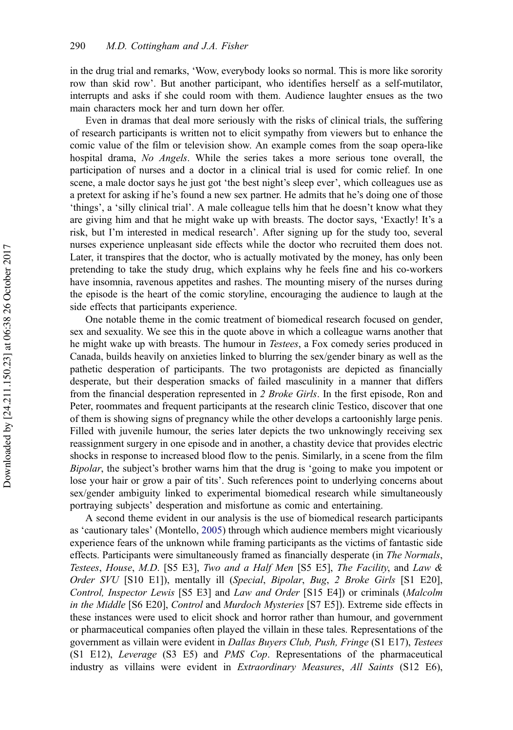in the drug trial and remarks, 'Wow, everybody looks so normal. This is more like sorority row than skid row'. But another participant, who identifies herself as a self-mutilator, interrupts and asks if she could room with them. Audience laughter ensues as the two main characters mock her and turn down her offer.

Even in dramas that deal more seriously with the risks of clinical trials, the suffering of research participants is written not to elicit sympathy from viewers but to enhance the comic value of the film or television show. An example comes from the soap opera-like hospital drama, No Angels. While the series takes a more serious tone overall, the participation of nurses and a doctor in a clinical trial is used for comic relief. In one scene, a male doctor says he just got 'the best night's sleep ever', which colleagues use as a pretext for asking if he's found a new sex partner. He admits that he's doing one of those 'things', a 'silly clinical trial'. A male colleague tells him that he doesn't know what they are giving him and that he might wake up with breasts. The doctor says, 'Exactly! It's a risk, but I'm interested in medical research'. After signing up for the study too, several nurses experience unpleasant side effects while the doctor who recruited them does not. Later, it transpires that the doctor, who is actually motivated by the money, has only been pretending to take the study drug, which explains why he feels fine and his co-workers have insomnia, ravenous appetites and rashes. The mounting misery of the nurses during the episode is the heart of the comic storyline, encouraging the audience to laugh at the side effects that participants experience.

One notable theme in the comic treatment of biomedical research focused on gender, sex and sexuality. We see this in the quote above in which a colleague warns another that he might wake up with breasts. The humour in Testees, a Fox comedy series produced in Canada, builds heavily on anxieties linked to blurring the sex/gender binary as well as the pathetic desperation of participants. The two protagonists are depicted as financially desperate, but their desperation smacks of failed masculinity in a manner that differs from the financial desperation represented in 2 Broke Girls. In the first episode, Ron and Peter, roommates and frequent participants at the research clinic Testico, discover that one of them is showing signs of pregnancy while the other develops a cartoonishly large penis. Filled with juvenile humour, the series later depicts the two unknowingly receiving sex reassignment surgery in one episode and in another, a chastity device that provides electric shocks in response to increased blood flow to the penis. Similarly, in a scene from the film Bipolar, the subject's brother warns him that the drug is 'going to make you impotent or lose your hair or grow a pair of tits'. Such references point to underlying concerns about sex/gender ambiguity linked to experimental biomedical research while simultaneously portraying subjects' desperation and misfortune as comic and entertaining.

A second theme evident in our analysis is the use of biomedical research participants as 'cautionary tales' (Montello, [2005\)](#page-15-0) through which audience members might vicariously experience fears of the unknown while framing participants as the victims of fantastic side effects. Participants were simultaneously framed as financially desperate (in The Normals, Testees, House, M.D. [S5 E3], Two and a Half Men [S5 E5], The Facility, and Law & Order SVU [S10 E1]), mentally ill (Special, Bipolar, Bug, 2 Broke Girls [S1 E20], Control, Inspector Lewis [S5 E3] and Law and Order [S15 E4]) or criminals (Malcolm in the Middle [S6 E20], Control and Murdoch Mysteries [S7 E5]). Extreme side effects in these instances were used to elicit shock and horror rather than humour, and government or pharmaceutical companies often played the villain in these tales. Representations of the government as villain were evident in Dallas Buyers Club, Push, Fringe (S1 E17), Testees (S1 E12), Leverage (S3 E5) and PMS Cop. Representations of the pharmaceutical industry as villains were evident in *Extraordinary Measures*, All Saints (S12 E6),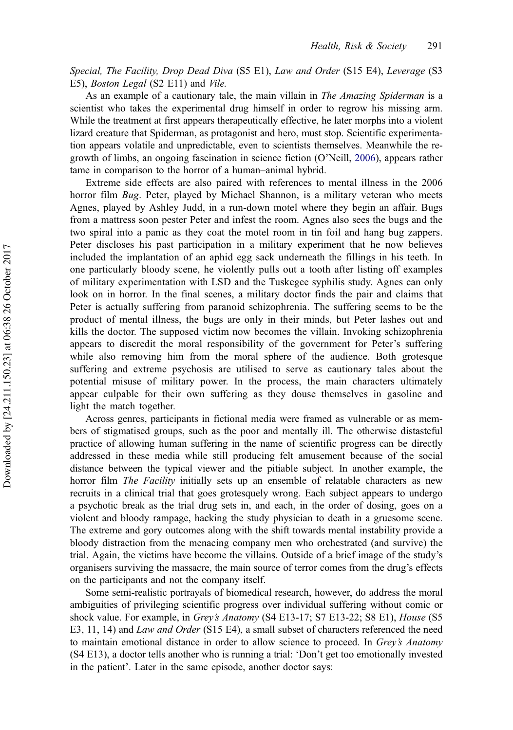Special, The Facility, Drop Dead Diva (S5 E1), Law and Order (S15 E4), Leverage (S3 E5), Boston Legal (S2 E11) and Vile.

As an example of a cautionary tale, the main villain in *The Amazing Spiderman* is a scientist who takes the experimental drug himself in order to regrow his missing arm. While the treatment at first appears therapeutically effective, he later morphs into a violent lizard creature that Spiderman, as protagonist and hero, must stop. Scientific experimentation appears volatile and unpredictable, even to scientists themselves. Meanwhile the regrowth of limbs, an ongoing fascination in science fiction (O'Neill, [2006](#page-15-0)), appears rather tame in comparison to the horror of a human–animal hybrid.

Extreme side effects are also paired with references to mental illness in the 2006 horror film Bug. Peter, played by Michael Shannon, is a military veteran who meets Agnes, played by Ashley Judd, in a run-down motel where they begin an affair. Bugs from a mattress soon pester Peter and infest the room. Agnes also sees the bugs and the two spiral into a panic as they coat the motel room in tin foil and hang bug zappers. Peter discloses his past participation in a military experiment that he now believes included the implantation of an aphid egg sack underneath the fillings in his teeth. In one particularly bloody scene, he violently pulls out a tooth after listing off examples of military experimentation with LSD and the Tuskegee syphilis study. Agnes can only look on in horror. In the final scenes, a military doctor finds the pair and claims that Peter is actually suffering from paranoid schizophrenia. The suffering seems to be the product of mental illness, the bugs are only in their minds, but Peter lashes out and kills the doctor. The supposed victim now becomes the villain. Invoking schizophrenia appears to discredit the moral responsibility of the government for Peter's suffering while also removing him from the moral sphere of the audience. Both grotesque suffering and extreme psychosis are utilised to serve as cautionary tales about the potential misuse of military power. In the process, the main characters ultimately appear culpable for their own suffering as they douse themselves in gasoline and light the match together.

Across genres, participants in fictional media were framed as vulnerable or as members of stigmatised groups, such as the poor and mentally ill. The otherwise distasteful practice of allowing human suffering in the name of scientific progress can be directly addressed in these media while still producing felt amusement because of the social distance between the typical viewer and the pitiable subject. In another example, the horror film *The Facility* initially sets up an ensemble of relatable characters as new recruits in a clinical trial that goes grotesquely wrong. Each subject appears to undergo a psychotic break as the trial drug sets in, and each, in the order of dosing, goes on a violent and bloody rampage, hacking the study physician to death in a gruesome scene. The extreme and gory outcomes along with the shift towards mental instability provide a bloody distraction from the menacing company men who orchestrated (and survive) the trial. Again, the victims have become the villains. Outside of a brief image of the study's organisers surviving the massacre, the main source of terror comes from the drug's effects on the participants and not the company itself.

Some semi-realistic portrayals of biomedical research, however, do address the moral ambiguities of privileging scientific progress over individual suffering without comic or shock value. For example, in *Grey's Anatomy* (S4 E13-17; S7 E13-22; S8 E1), *House* (S5 E3, 11, 14) and *Law and Order* (S15 E4), a small subset of characters referenced the need to maintain emotional distance in order to allow science to proceed. In Grey's Anatomy (S4 E13), a doctor tells another who is running a trial: 'Don't get too emotionally invested in the patient'. Later in the same episode, another doctor says: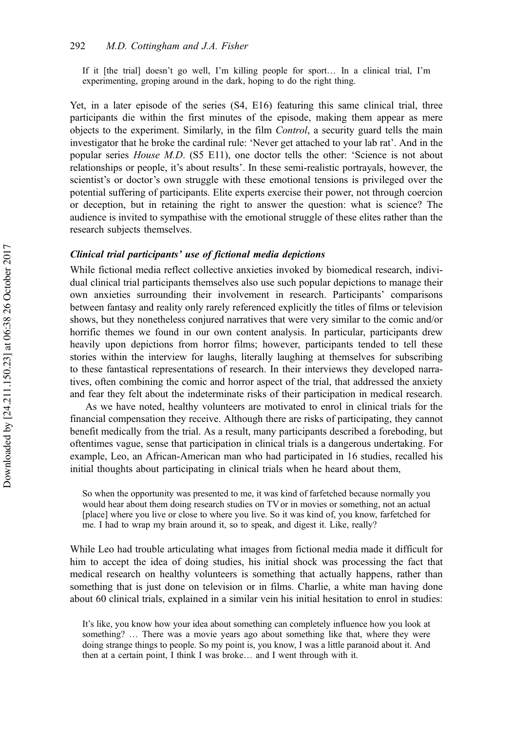If it [the trial] doesn't go well, I'm killing people for sport… In a clinical trial, I'm experimenting, groping around in the dark, hoping to do the right thing.

Yet, in a later episode of the series (S4, E16) featuring this same clinical trial, three participants die within the first minutes of the episode, making them appear as mere objects to the experiment. Similarly, in the film Control, a security guard tells the main investigator that he broke the cardinal rule: 'Never get attached to your lab rat'. And in the popular series House M.D. (S5 E11), one doctor tells the other: 'Science is not about relationships or people, it's about results'. In these semi-realistic portrayals, however, the scientist's or doctor's own struggle with these emotional tensions is privileged over the potential suffering of participants. Elite experts exercise their power, not through coercion or deception, but in retaining the right to answer the question: what is science? The audience is invited to sympathise with the emotional struggle of these elites rather than the research subjects themselves.

## Clinical trial participants' use of fictional media depictions

While fictional media reflect collective anxieties invoked by biomedical research, individual clinical trial participants themselves also use such popular depictions to manage their own anxieties surrounding their involvement in research. Participants' comparisons between fantasy and reality only rarely referenced explicitly the titles of films or television shows, but they nonetheless conjured narratives that were very similar to the comic and/or horrific themes we found in our own content analysis. In particular, participants drew heavily upon depictions from horror films; however, participants tended to tell these stories within the interview for laughs, literally laughing at themselves for subscribing to these fantastical representations of research. In their interviews they developed narratives, often combining the comic and horror aspect of the trial, that addressed the anxiety and fear they felt about the indeterminate risks of their participation in medical research.

As we have noted, healthy volunteers are motivated to enrol in clinical trials for the financial compensation they receive. Although there are risks of participating, they cannot benefit medically from the trial. As a result, many participants described a foreboding, but oftentimes vague, sense that participation in clinical trials is a dangerous undertaking. For example, Leo, an African-American man who had participated in 16 studies, recalled his initial thoughts about participating in clinical trials when he heard about them,

So when the opportunity was presented to me, it was kind of farfetched because normally you would hear about them doing research studies on TV or in movies or something, not an actual [place] where you live or close to where you live. So it was kind of, you know, farfetched for me. I had to wrap my brain around it, so to speak, and digest it. Like, really?

While Leo had trouble articulating what images from fictional media made it difficult for him to accept the idea of doing studies, his initial shock was processing the fact that medical research on healthy volunteers is something that actually happens, rather than something that is just done on television or in films. Charlie, a white man having done about 60 clinical trials, explained in a similar vein his initial hesitation to enrol in studies:

It's like, you know how your idea about something can completely influence how you look at something? … There was a movie years ago about something like that, where they were doing strange things to people. So my point is, you know, I was a little paranoid about it. And then at a certain point, I think I was broke… and I went through with it.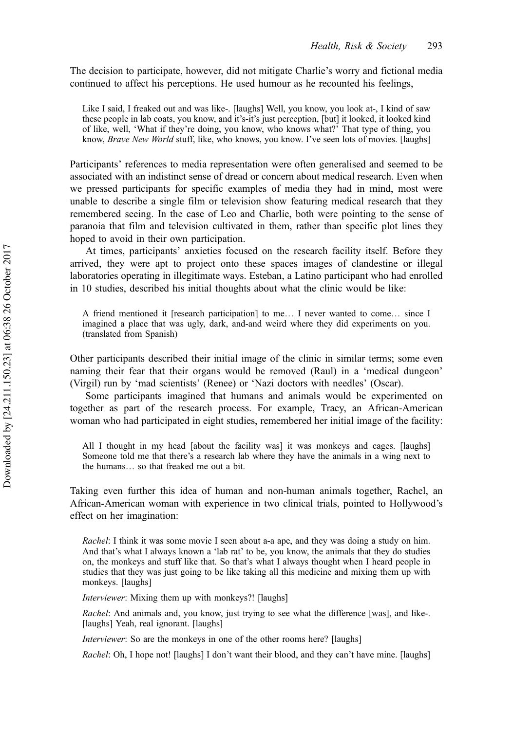The decision to participate, however, did not mitigate Charlie's worry and fictional media continued to affect his perceptions. He used humour as he recounted his feelings,

Like I said, I freaked out and was like-. [laughs] Well, you know, you look at-, I kind of saw these people in lab coats, you know, and it's-it's just perception, [but] it looked, it looked kind of like, well, 'What if they're doing, you know, who knows what?' That type of thing, you know, Brave New World stuff, like, who knows, you know. I've seen lots of movies. [laughs]

Participants' references to media representation were often generalised and seemed to be associated with an indistinct sense of dread or concern about medical research. Even when we pressed participants for specific examples of media they had in mind, most were unable to describe a single film or television show featuring medical research that they remembered seeing. In the case of Leo and Charlie, both were pointing to the sense of paranoia that film and television cultivated in them, rather than specific plot lines they hoped to avoid in their own participation.

At times, participants' anxieties focused on the research facility itself. Before they arrived, they were apt to project onto these spaces images of clandestine or illegal laboratories operating in illegitimate ways. Esteban, a Latino participant who had enrolled in 10 studies, described his initial thoughts about what the clinic would be like:

A friend mentioned it [research participation] to me… I never wanted to come… since I imagined a place that was ugly, dark, and-and weird where they did experiments on you. (translated from Spanish)

Other participants described their initial image of the clinic in similar terms; some even naming their fear that their organs would be removed (Raul) in a 'medical dungeon' (Virgil) run by 'mad scientists' (Renee) or 'Nazi doctors with needles' (Oscar).

Some participants imagined that humans and animals would be experimented on together as part of the research process. For example, Tracy, an African-American woman who had participated in eight studies, remembered her initial image of the facility:

All I thought in my head [about the facility was] it was monkeys and cages. [laughs] Someone told me that there's a research lab where they have the animals in a wing next to the humans… so that freaked me out a bit.

Taking even further this idea of human and non-human animals together, Rachel, an African-American woman with experience in two clinical trials, pointed to Hollywood's effect on her imagination:

Rachel: I think it was some movie I seen about a-a ape, and they was doing a study on him. And that's what I always known a 'lab rat' to be, you know, the animals that they do studies on, the monkeys and stuff like that. So that's what I always thought when I heard people in studies that they was just going to be like taking all this medicine and mixing them up with monkeys. [laughs]

Interviewer: Mixing them up with monkeys?! [laughs]

Rachel: And animals and, you know, just trying to see what the difference [was], and like-. [laughs] Yeah, real ignorant. [laughs]

Interviewer: So are the monkeys in one of the other rooms here? [laughs]

Rachel: Oh, I hope not! [laughs] I don't want their blood, and they can't have mine. [laughs]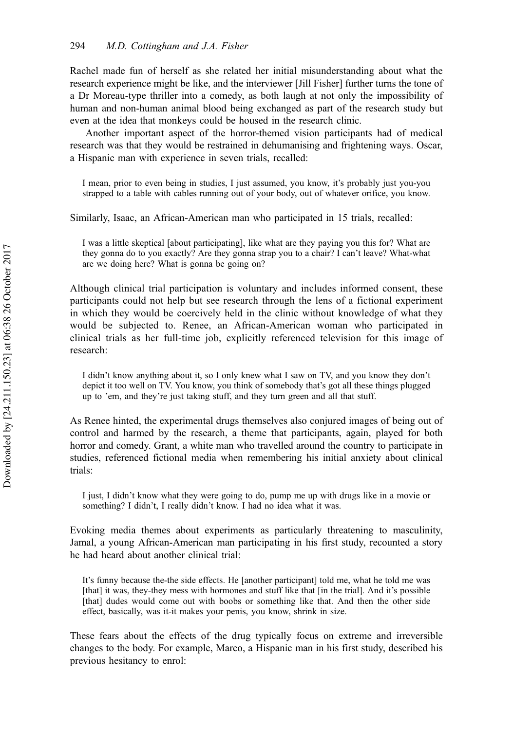Rachel made fun of herself as she related her initial misunderstanding about what the research experience might be like, and the interviewer [Jill Fisher] further turns the tone of a Dr Moreau-type thriller into a comedy, as both laugh at not only the impossibility of human and non-human animal blood being exchanged as part of the research study but even at the idea that monkeys could be housed in the research clinic.

Another important aspect of the horror-themed vision participants had of medical research was that they would be restrained in dehumanising and frightening ways. Oscar, a Hispanic man with experience in seven trials, recalled:

I mean, prior to even being in studies, I just assumed, you know, it's probably just you-you strapped to a table with cables running out of your body, out of whatever orifice, you know.

Similarly, Isaac, an African-American man who participated in 15 trials, recalled:

I was a little skeptical [about participating], like what are they paying you this for? What are they gonna do to you exactly? Are they gonna strap you to a chair? I can't leave? What-what are we doing here? What is gonna be going on?

Although clinical trial participation is voluntary and includes informed consent, these participants could not help but see research through the lens of a fictional experiment in which they would be coercively held in the clinic without knowledge of what they would be subjected to. Renee, an African-American woman who participated in clinical trials as her full-time job, explicitly referenced television for this image of research:

I didn't know anything about it, so I only knew what I saw on TV, and you know they don't depict it too well on TV. You know, you think of somebody that's got all these things plugged up to 'em, and they're just taking stuff, and they turn green and all that stuff.

As Renee hinted, the experimental drugs themselves also conjured images of being out of control and harmed by the research, a theme that participants, again, played for both horror and comedy. Grant, a white man who travelled around the country to participate in studies, referenced fictional media when remembering his initial anxiety about clinical trials:

I just, I didn't know what they were going to do, pump me up with drugs like in a movie or something? I didn't, I really didn't know. I had no idea what it was.

Evoking media themes about experiments as particularly threatening to masculinity, Jamal, a young African-American man participating in his first study, recounted a story he had heard about another clinical trial:

It's funny because the-the side effects. He [another participant] told me, what he told me was [that] it was, they-they mess with hormones and stuff like that [in the trial]. And it's possible [that] dudes would come out with boobs or something like that. And then the other side effect, basically, was it-it makes your penis, you know, shrink in size.

These fears about the effects of the drug typically focus on extreme and irreversible changes to the body. For example, Marco, a Hispanic man in his first study, described his previous hesitancy to enrol: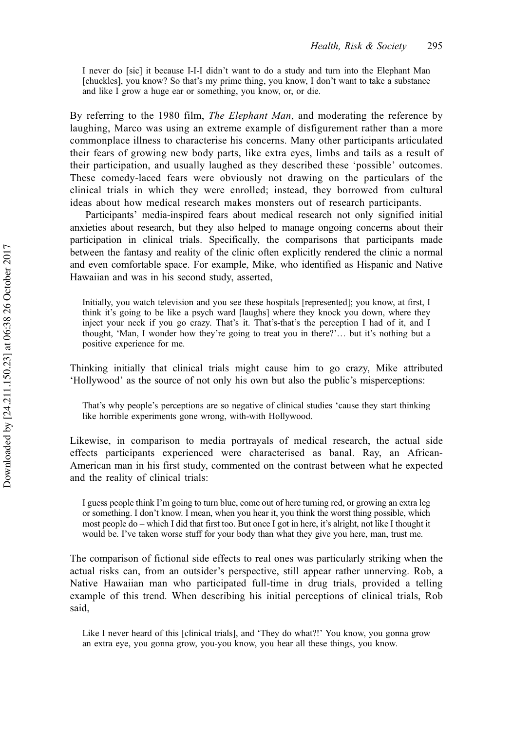I never do [sic] it because I-I-I didn't want to do a study and turn into the Elephant Man [chuckles], you know? So that's my prime thing, you know, I don't want to take a substance and like I grow a huge ear or something, you know, or, or die.

By referring to the 1980 film, *The Elephant Man*, and moderating the reference by laughing, Marco was using an extreme example of disfigurement rather than a more commonplace illness to characterise his concerns. Many other participants articulated their fears of growing new body parts, like extra eyes, limbs and tails as a result of their participation, and usually laughed as they described these 'possible' outcomes. These comedy-laced fears were obviously not drawing on the particulars of the clinical trials in which they were enrolled; instead, they borrowed from cultural ideas about how medical research makes monsters out of research participants.

Participants' media-inspired fears about medical research not only signified initial anxieties about research, but they also helped to manage ongoing concerns about their participation in clinical trials. Specifically, the comparisons that participants made between the fantasy and reality of the clinic often explicitly rendered the clinic a normal and even comfortable space. For example, Mike, who identified as Hispanic and Native Hawaiian and was in his second study, asserted,

Initially, you watch television and you see these hospitals [represented]; you know, at first, I think it's going to be like a psych ward [laughs] where they knock you down, where they inject your neck if you go crazy. That's it. That's-that's the perception I had of it, and I thought, 'Man, I wonder how they're going to treat you in there?'… but it's nothing but a positive experience for me.

Thinking initially that clinical trials might cause him to go crazy, Mike attributed 'Hollywood' as the source of not only his own but also the public's misperceptions:

That's why people's perceptions are so negative of clinical studies 'cause they start thinking like horrible experiments gone wrong, with-with Hollywood.

Likewise, in comparison to media portrayals of medical research, the actual side effects participants experienced were characterised as banal. Ray, an African-American man in his first study, commented on the contrast between what he expected and the reality of clinical trials:

I guess people think I'm going to turn blue, come out of here turning red, or growing an extra leg or something. I don't know. I mean, when you hear it, you think the worst thing possible, which most people do – which I did that first too. But once I got in here, it's alright, not like I thought it would be. I've taken worse stuff for your body than what they give you here, man, trust me.

The comparison of fictional side effects to real ones was particularly striking when the actual risks can, from an outsider's perspective, still appear rather unnerving. Rob, a Native Hawaiian man who participated full-time in drug trials, provided a telling example of this trend. When describing his initial perceptions of clinical trials, Rob said,

Like I never heard of this [clinical trials], and 'They do what?!' You know, you gonna grow an extra eye, you gonna grow, you-you know, you hear all these things, you know.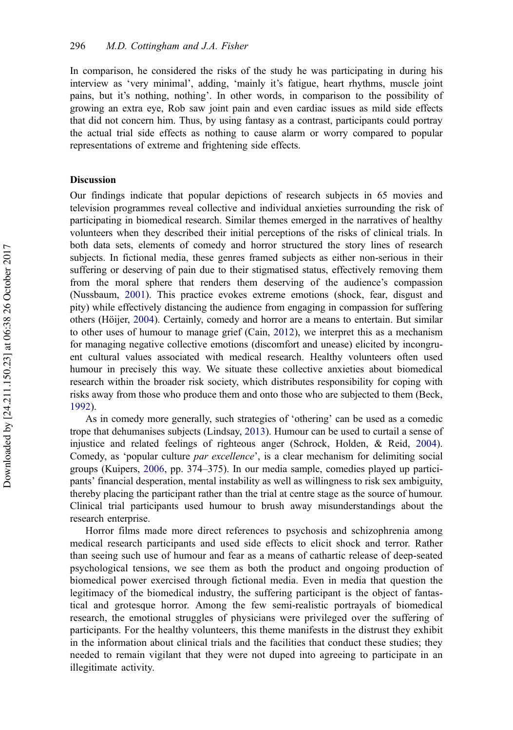<span id="page-12-0"></span>In comparison, he considered the risks of the study he was participating in during his interview as 'very minimal', adding, 'mainly it's fatigue, heart rhythms, muscle joint pains, but it's nothing, nothing'. In other words, in comparison to the possibility of growing an extra eye, Rob saw joint pain and even cardiac issues as mild side effects that did not concern him. Thus, by using fantasy as a contrast, participants could portray the actual trial side effects as nothing to cause alarm or worry compared to popular representations of extreme and frightening side effects.

## Discussion

Our findings indicate that popular depictions of research subjects in 65 movies and television programmes reveal collective and individual anxieties surrounding the risk of participating in biomedical research. Similar themes emerged in the narratives of healthy volunteers when they described their initial perceptions of the risks of clinical trials. In both data sets, elements of comedy and horror structured the story lines of research subjects. In fictional media, these genres framed subjects as either non-serious in their suffering or deserving of pain due to their stigmatised status, effectively removing them from the moral sphere that renders them deserving of the audience's compassion (Nussbaum, [2001](#page-15-0)). This practice evokes extreme emotions (shock, fear, disgust and pity) while effectively distancing the audience from engaging in compassion for suffering others (Höijer, [2004](#page-15-0)). Certainly, comedy and horror are a means to entertain. But similar to other uses of humour to manage grief (Cain, [2012](#page-14-0)), we interpret this as a mechanism for managing negative collective emotions (discomfort and unease) elicited by incongruent cultural values associated with medical research. Healthy volunteers often used humour in precisely this way. We situate these collective anxieties about biomedical research within the broader risk society, which distributes responsibility for coping with risks away from those who produce them and onto those who are subjected to them (Beck, [1992](#page-14-0)).

As in comedy more generally, such strategies of 'othering' can be used as a comedic trope that dehumanises subjects (Lindsay, [2013](#page-15-0)). Humour can be used to curtail a sense of injustice and related feelings of righteous anger (Schrock, Holden, & Reid, [2004](#page-15-0)). Comedy, as 'popular culture par excellence', is a clear mechanism for delimiting social groups (Kuipers, [2006](#page-15-0), pp. 374–375). In our media sample, comedies played up participants' financial desperation, mental instability as well as willingness to risk sex ambiguity, thereby placing the participant rather than the trial at centre stage as the source of humour. Clinical trial participants used humour to brush away misunderstandings about the research enterprise.

Horror films made more direct references to psychosis and schizophrenia among medical research participants and used side effects to elicit shock and terror. Rather than seeing such use of humour and fear as a means of cathartic release of deep-seated psychological tensions, we see them as both the product and ongoing production of biomedical power exercised through fictional media. Even in media that question the legitimacy of the biomedical industry, the suffering participant is the object of fantastical and grotesque horror. Among the few semi-realistic portrayals of biomedical research, the emotional struggles of physicians were privileged over the suffering of participants. For the healthy volunteers, this theme manifests in the distrust they exhibit in the information about clinical trials and the facilities that conduct these studies; they needed to remain vigilant that they were not duped into agreeing to participate in an illegitimate activity.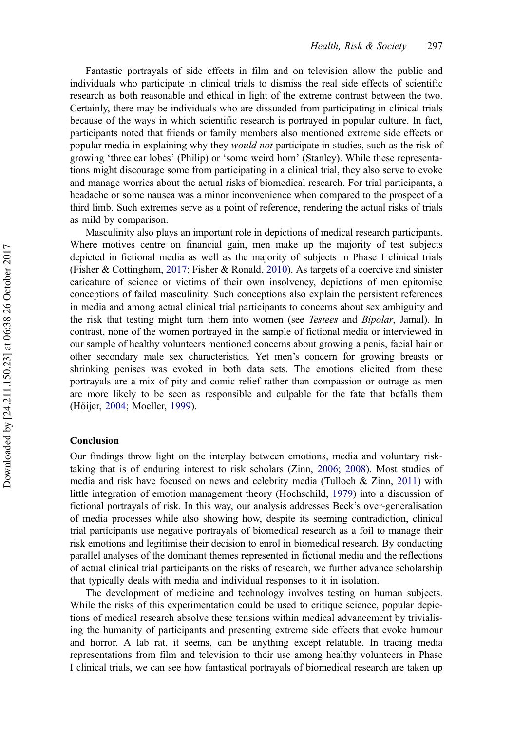<span id="page-13-0"></span>Fantastic portrayals of side effects in film and on television allow the public and individuals who participate in clinical trials to dismiss the real side effects of scientific research as both reasonable and ethical in light of the extreme contrast between the two. Certainly, there may be individuals who are dissuaded from participating in clinical trials because of the ways in which scientific research is portrayed in popular culture. In fact, participants noted that friends or family members also mentioned extreme side effects or popular media in explaining why they would not participate in studies, such as the risk of growing 'three ear lobes' (Philip) or 'some weird horn' (Stanley). While these representations might discourage some from participating in a clinical trial, they also serve to evoke and manage worries about the actual risks of biomedical research. For trial participants, a headache or some nausea was a minor inconvenience when compared to the prospect of a third limb. Such extremes serve as a point of reference, rendering the actual risks of trials as mild by comparison.

Masculinity also plays an important role in depictions of medical research participants. Where motives centre on financial gain, men make up the majority of test subjects depicted in fictional media as well as the majority of subjects in Phase I clinical trials (Fisher & Cottingham, [2017;](#page-14-0) Fisher & Ronald, [2010](#page-14-0)). As targets of a coercive and sinister caricature of science or victims of their own insolvency, depictions of men epitomise conceptions of failed masculinity. Such conceptions also explain the persistent references in media and among actual clinical trial participants to concerns about sex ambiguity and the risk that testing might turn them into women (see Testees and Bipolar, Jamal). In contrast, none of the women portrayed in the sample of fictional media or interviewed in our sample of healthy volunteers mentioned concerns about growing a penis, facial hair or other secondary male sex characteristics. Yet men's concern for growing breasts or shrinking penises was evoked in both data sets. The emotions elicited from these portrayals are a mix of pity and comic relief rather than compassion or outrage as men are more likely to be seen as responsible and culpable for the fate that befalls them (Höijer, [2004](#page-15-0); Moeller, [1999\)](#page-15-0).

#### Conclusion

Our findings throw light on the interplay between emotions, media and voluntary risktaking that is of enduring interest to risk scholars (Zinn, [2006](#page-16-0); [2008](#page-16-0)). Most studies of media and risk have focused on news and celebrity media (Tulloch & Zinn, [2011\)](#page-16-0) with little integration of emotion management theory (Hochschild, [1979\)](#page-15-0) into a discussion of fictional portrayals of risk. In this way, our analysis addresses Beck's over-generalisation of media processes while also showing how, despite its seeming contradiction, clinical trial participants use negative portrayals of biomedical research as a foil to manage their risk emotions and legitimise their decision to enrol in biomedical research. By conducting parallel analyses of the dominant themes represented in fictional media and the reflections of actual clinical trial participants on the risks of research, we further advance scholarship that typically deals with media and individual responses to it in isolation.

The development of medicine and technology involves testing on human subjects. While the risks of this experimentation could be used to critique science, popular depictions of medical research absolve these tensions within medical advancement by trivialising the humanity of participants and presenting extreme side effects that evoke humour and horror. A lab rat, it seems, can be anything except relatable. In tracing media representations from film and television to their use among healthy volunteers in Phase I clinical trials, we can see how fantastical portrayals of biomedical research are taken up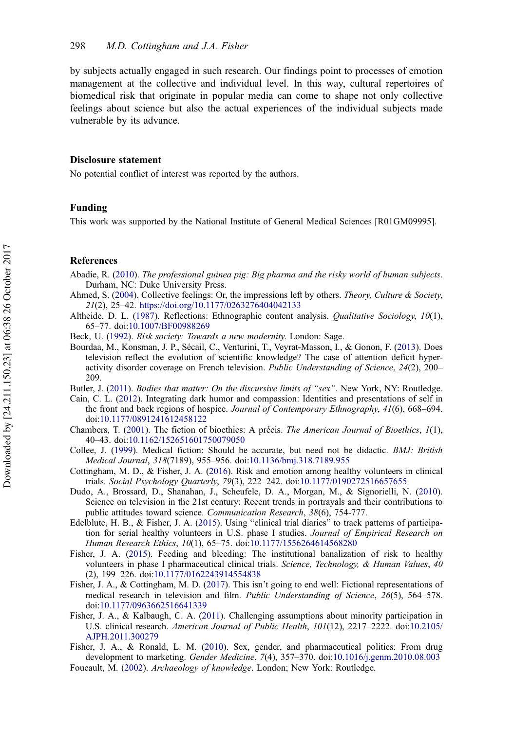<span id="page-14-0"></span>by subjects actually engaged in such research. Our findings point to processes of emotion management at the collective and individual level. In this way, cultural repertoires of biomedical risk that originate in popular media can come to shape not only collective feelings about science but also the actual experiences of the individual subjects made vulnerable by its advance.

#### Disclosure statement

No potential conflict of interest was reported by the authors.

#### Funding

This work was supported by the National Institute of General Medical Sciences [R01GM09995].

## References

- Abadie, R. [\(2010](#page-1-0)). The professional guinea pig: Big pharma and the risky world of human subjects. Durham, NC: Duke University Press.
- Ahmed, S. ([2004\)](#page-2-0). Collective feelings: Or, the impressions left by others. Theory, Culture & Society, 21(2), 25–42. <https://doi.org/10.1177/0263276404042133>
- Altheide, D. L. ([1987\)](#page-3-0). Reflections: Ethnographic content analysis. Qualitative Sociology, 10(1), 65–77. doi:[10.1007/BF00988269](https://doi.org/10.1007/BF00988269)
- Beck, U. [\(1992](#page-1-0)). Risk society: Towards a new modernity. London: Sage.
- Bourdaa, M., Konsman, J. P., Sécail, C., Venturini, T., Veyrat-Masson, I., & Gonon, F. [\(2013](#page-1-0)). Does television reflect the evolution of scientific knowledge? The case of attention deficit hyperactivity disorder coverage on French television. Public Understanding of Science, 24(2), 200– 209.
- Butler, J. ([2011](#page-2-0)). Bodies that matter: On the discursive limits of "sex". New York, NY: Routledge.
- Cain, C. L. [\(2012](#page-12-0)). Integrating dark humor and compassion: Identities and presentations of self in the front and back regions of hospice. Journal of Contemporary Ethnography, 41(6), 668-694. doi:[10.1177/0891241612458122](https://doi.org/10.1177/0891241612458122)
- Chambers, T. ([2001\)](#page-1-0). The fiction of bioethics: A précis. The American Journal of Bioethics, 1(1), 40–43. doi:[10.1162/152651601750079050](https://doi.org/10.1162/152651601750079050)
- Collee, J. ([1999\)](#page-1-0). Medical fiction: Should be accurate, but need not be didactic. BMJ: British Medical Journal, 318(7189), 955–956. doi:[10.1136/bmj.318.7189.955](https://doi.org/10.1136/bmj.318.7189.955)
- Cottingham, M. D., & Fisher, J. A. [\(2016](#page-1-0)). Risk and emotion among healthy volunteers in clinical trials. Social Psychology Quarterly, 79(3), 222–242. doi:[10.1177/0190272516657655](https://doi.org/10.1177/0190272516657655)
- Dudo, A., Brossard, D., Shanahan, J., Scheufele, D. A., Morgan, M., & Signorielli, N. ([2010\)](#page-1-0). Science on television in the 21st century: Recent trends in portrayals and their contributions to public attitudes toward science. Communication Research, 38(6), 754-777.
- Edelblute, H. B., & Fisher, J. A. ([2015\)](#page-4-0). Using "clinical trial diaries" to track patterns of participation for serial healthy volunteers in U.S. phase I studies. Journal of Empirical Research on Human Research Ethics, 10(1), 65–75. doi:[10.1177/1556264614568280](https://doi.org/10.1177/1556264614568280)
- Fisher, J. A. ([2015\)](#page-1-0). Feeding and bleeding: The institutional banalization of risk to healthy volunteers in phase I pharmaceutical clinical trials. Science, Technology, & Human Values, 40 (2), 199–226. doi:[10.1177/0162243914554838](https://doi.org/10.1177/0162243914554838)
- Fisher, J. A., & Cottingham, M. D. ([2017\)](#page-3-0). This isn't going to end well: Fictional representations of medical research in television and film. Public Understanding of Science, 26(5), 564–578. doi:[10.1177/0963662516641339](https://doi.org/10.1177/0963662516641339)
- Fisher, J. A., & Kalbaugh, C. A. [\(2011\)](#page-4-0). Challenging assumptions about minority participation in U.S. clinical research. American Journal of Public Health, 101(12), 2217–2222. doi:[10.2105/](https://doi.org/10.2105/AJPH.2011.300279) [AJPH.2011.300279](https://doi.org/10.2105/AJPH.2011.300279)
- Fisher, J. A., & Ronald, L. M. ([2010\)](#page-13-0). Sex, gender, and pharmaceutical politics: From drug development to marketing. Gender Medicine, 7(4), 357-370. doi:[10.1016/j.genm.2010.08.003](https://doi.org/10.1016/j.genm.2010.08.003) Foucault, M. ([2002\)](#page-1-0). Archaeology of knowledge. London; New York: Routledge.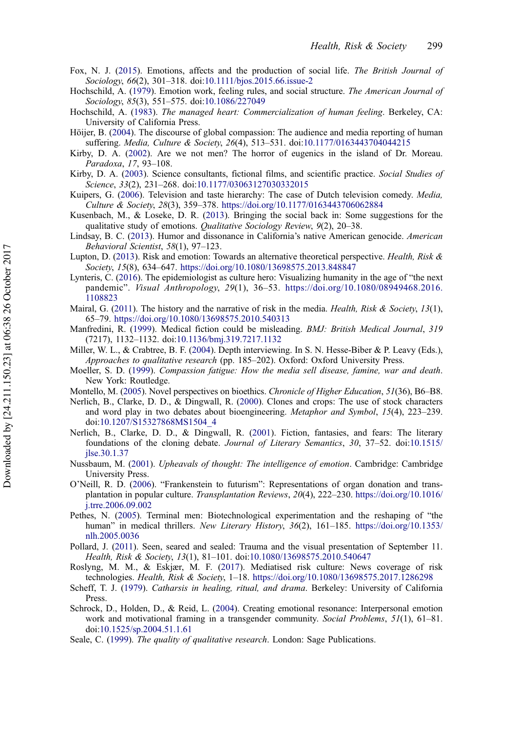- <span id="page-15-0"></span>Fox, N. J. ([2015\)](#page-2-0). Emotions, affects and the production of social life. The British Journal of Sociology, 66(2), 301–318. doi:[10.1111/bjos.2015.66.issue-2](https://doi.org/10.1111/bjos.2015.66.issue-2)
- Hochschild, A. [\(1979](#page-2-0)). Emotion work, feeling rules, and social structure. The American Journal of Sociology, 85(3), 551–575. doi:[10.1086/227049](https://doi.org/10.1086/227049)
- Hochschild, A. ([1983\)](#page-2-0). The managed heart: Commercialization of human feeling. Berkeley, CA: University of California Press.
- Höijer, B. ([2004\)](#page-12-0). The discourse of global compassion: The audience and media reporting of human suffering. Media, Culture & Society, 26(4), 513–531. doi:[10.1177/0163443704044215](https://doi.org/10.1177/0163443704044215)
- Kirby, D. A. ([2002](#page-2-0)). Are we not men? The horror of eugenics in the island of Dr. Moreau. Paradoxa, 17, 93–108.
- Kirby, D. A. ([2003\)](#page-1-0). Science consultants, fictional films, and scientific practice. Social Studies of Science, 33(2), 231–268. doi:[10.1177/03063127030332015](https://doi.org/10.1177/03063127030332015)
- Kuipers, G. [\(2006](#page-12-0)). Television and taste hierarchy: The case of Dutch television comedy. Media, Culture & Society, 28(3), 359–378. <https://doi.org/10.1177/0163443706062884>
- Kusenbach, M., & Loseke, D. R. [\(2013\)](#page-2-0). Bringing the social back in: Some suggestions for the qualitative study of emotions. Qualitative Sociology Review, 9(2), 20–38.
- Lindsay, B. C. ([2013\)](#page-12-0). Humor and dissonance in California's native American genocide. American Behavioral Scientist, 58(1), 97–123.
- Lupton, D. ([2013\)](#page-2-0). Risk and emotion: Towards an alternative theoretical perspective. Health, Risk & Society, 15(8), 634–647. <https://doi.org/10.1080/13698575.2013.848847>
- Lynteris, C. [\(2016](#page-1-0)). The epidemiologist as culture hero: Visualizing humanity in the age of "the next pandemic". Visual Anthropology, 29(1), 36–53. [https://doi.org/10.1080/08949468.2016.](https://doi.org/10.1080/08949468.2016.1108823) [1108823](https://doi.org/10.1080/08949468.2016.1108823)
- Mairal, G. ([2011\)](#page-1-0). The history and the narrative of risk in the media. *Health, Risk & Society, 13*(1), 65–79. <https://doi.org/10.1080/13698575.2010.540313>
- Manfredini, R. ([1999\)](#page-1-0). Medical fiction could be misleading. BMJ: British Medical Journal, 319 (7217), 1132–1132. doi:[10.1136/bmj.319.7217.1132](https://doi.org/10.1136/bmj.319.7217.1132)
- Miller, W. L., & Crabtree, B. F. ([2004\)](#page-4-0). Depth interviewing. In S. N. Hesse-Biber & P. Leavy (Eds.), Approaches to qualitative research (pp. 185–202). Oxford: Oxford University Press.
- Moeller, S. D. ([1999\)](#page-13-0). Compassion fatigue: How the media sell disease, famine, war and death. New York: Routledge.
- Montello, M. ([2005](#page-1-0)). Novel perspectives on bioethics. Chronicle of Higher Education, 51(36), B6–B8.
- Nerlich, B., Clarke, D. D., & Dingwall, R. ([2000\)](#page-1-0). Clones and crops: The use of stock characters and word play in two debates about bioengineering. Metaphor and Symbol, 15(4), 223–239. doi:[10.1207/S15327868MS1504\\_4](https://doi.org/10.1207/S15327868MS1504_4)
- Nerlich, B., Clarke, D. D., & Dingwall, R. ([2001\)](#page-1-0). Fiction, fantasies, and fears: The literary foundations of the cloning debate. Journal of Literary Semantics, 30, 37-52. doi:[10.1515/](https://doi.org/10.1515/jlse.30.1.37) [jlse.30.1.37](https://doi.org/10.1515/jlse.30.1.37)
- Nussbaum, M. [\(2001](#page-12-0)). Upheavals of thought: The intelligence of emotion. Cambridge: Cambridge University Press.
- O'Neill, R. D. ([2006\)](#page-2-0). "Frankenstein to futurism": Representations of organ donation and transplantation in popular culture. Transplantation Reviews, 20(4), 222–230. [https://doi.org/10.1016/](https://doi.org/10.1016/j.trre.2006.09.002) [j.trre.2006.09.002](https://doi.org/10.1016/j.trre.2006.09.002)
- Pethes, N. [\(2005](#page-1-0)). Terminal men: Biotechnological experimentation and the reshaping of "the human" in medical thrillers. New Literary History, 36(2), 161-185. [https://doi.org/10.1353/](https://doi.org/10.1353/nlh.2005.0036) [nlh.2005.0036](https://doi.org/10.1353/nlh.2005.0036)
- Pollard, J. ([2011](#page-1-0)). Seen, seared and sealed: Trauma and the visual presentation of September 11. Health, Risk & Society, 13(1), 81–101. doi:[10.1080/13698575.2010.540647](https://doi.org/10.1080/13698575.2010.540647)
- Roslyng, M. M., & Eskjær, M. F. ([2017\)](#page-1-0). Mediatised risk culture: News coverage of risk technologies. Health, Risk & Society, 1–18. <https://doi.org/10.1080/13698575.2017.1286298>
- Scheff, T. J. [\(1979](#page-2-0)). Catharsis in healing, ritual, and drama. Berkeley: University of California Press.
- Schrock, D., Holden, D., & Reid, L. [\(2004](#page-12-0)). Creating emotional resonance: Interpersonal emotion work and motivational framing in a transgender community. Social Problems, 51(1), 61-81. doi:[10.1525/sp.2004.51.1.61](https://doi.org/10.1525/sp.2004.51.1.61)
- Seale, C. ([1999\)](#page-4-0). The quality of qualitative research. London: Sage Publications.